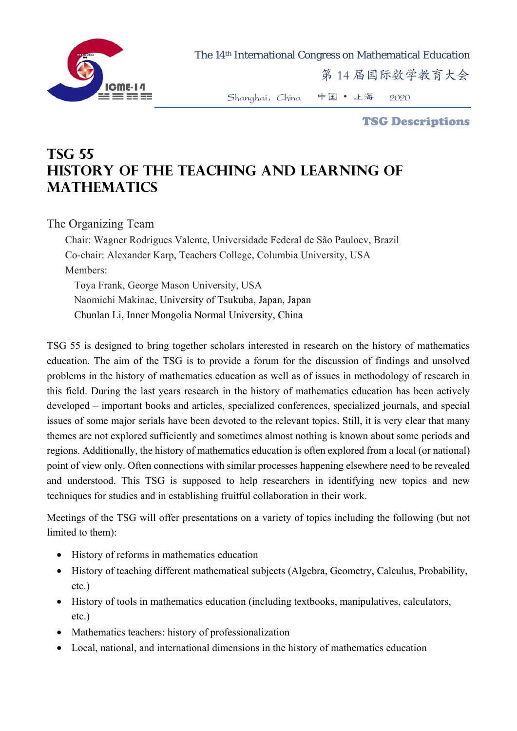

The 14th International Congress on Mathematical Education

第 14 届国际数学教育大会

Shanghai,China 中国 • 上海 2020

TSG Descriptions

## **TSG 55 History of the teaching and learning of mathematics**

The Organizing Team

Chair: Wagner Rodrigues Valente, Universidade Federal de São Paulocv, Brazil Co-chair: Alexander Karp, Teachers College, Columbia University, USA Members: Toya Frank, George Mason University, USA Naomichi Makinae, University of Tsukuba, Japan, Japan Chunlan Li, Inner Mongolia Normal University, China

TSG 55 is designed to bring together scholars interested in research on the history of mathematics education. The aim of the TSG is to provide a forum for the discussion of findings and unsolved problems in the history of mathematics education as well as of issues in methodology of research in this field. During the last years research in the history of mathematics education has been actively developed – important books and articles, specialized conferences, specialized journals, and special issues of some major serials have been devoted to the relevant topics. Still, it is very clear that many themes are not explored sufficiently and sometimes almost nothing is known about some periods and regions. Additionally, the history of mathematics education is often explored from a local (or national) point of view only. Often connections with similar processes happening elsewhere need to be revealed and understood. This TSG is supposed to help researchers in identifying new topics and new techniques for studies and in establishing fruitful collaboration in their work.

Meetings of the TSG will offer presentations on a variety of topics including the following (but not limited to them):

- History of reforms in mathematics education
- History of teaching different mathematical subjects (Algebra, Geometry, Calculus, Probability, etc.)
- History of tools in mathematics education (including textbooks, manipulatives, calculators, etc.)
- Mathematics teachers: history of professionalization
- Local, national, and international dimensions in the history of mathematics education